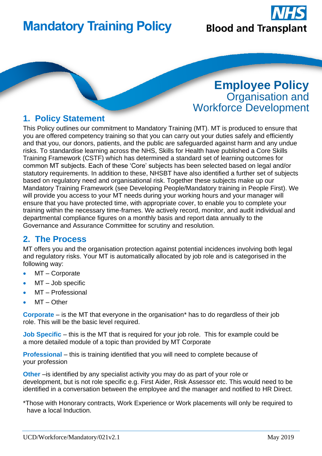# **Mandatory Training Policy**



## **Employee Policy** Organisation and Workforce Development

#### **1. Policy Statement**

This Policy outlines our commitment to Mandatory Training (MT). MT is produced to ensure that you are offered competency training so that you can carry out your duties safely and efficiently and that you, our donors, patients, and the public are safeguarded against harm and any undue risks. To standardise learning across the NHS, Skills for Health have published a Core Skills Training Framework (CSTF) which has determined a standard set of learning outcomes for common MT subjects. Each of these 'Core' subjects has been selected based on legal and/or statutory requirements. In addition to these, NHSBT have also identified a further set of subjects based on regulatory need and organisational risk. Together these subjects make up our Mandatory Training Framework (see Developing People/Mandatory training in People First). We will provide you access to your MT needs during your working hours and your manager will ensure that you have protected time, with appropriate cover, to enable you to complete your training within the necessary time-frames. We actively record, monitor, and audit individual and departmental compliance figures on a monthly basis and report data annually to the Governance and Assurance Committee for scrutiny and resolution.

#### **2. The Process**

MT offers you and the organisation protection against potential incidences involving both legal and regulatory risks. Your MT is automatically allocated by job role and is categorised in the following way:

- MT Corporate
- MT Job specific
- MT Professional
- $MT Other$

**Corporate** – is the MT that everyone in the organisation\* has to do regardless of their job role. This will be the basic level required.

**Job Specific** – this is the MT that is required for your job role. This for example could be a more detailed module of a topic than provided by MT Corporate

**Professional** – this is training identified that you will need to complete because of your profession

**Other** – is identified by any specialist activity you may do as part of your role or development, but is not role specific e.g. First Aider, Risk Assessor etc. This would need to be identified in a conversation between the employee and the manager and notified to HR Direct.

\*Those with Honorary contracts, Work Experience or Work placements will only be required to have a local Induction.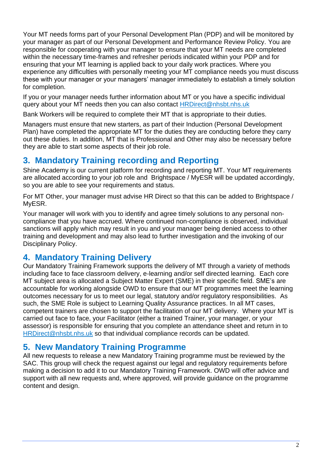Your MT needs forms part of your Personal Development Plan (PDP) and will be monitored by your manager as part of our Personal Development and Performance Review Policy. You are responsible for cooperating with your manager to ensure that your MT needs are completed within the necessary time-frames and refresher periods indicated within your PDP and for ensuring that your MT learning is applied back to your daily work practices. Where you experience any difficulties with personally meeting your MT compliance needs you must discuss these with your manager or your managers' manager immediately to establish a timely solution for completion.

If you or your manager needs further information about MT or you have a specific individual query about your MT needs then you can also contact [HRDirect@nhsbt.nhs.uk](mailto:HRDirect@nhsbt.nhs.uk)

Bank Workers will be required to complete their MT that is appropriate to their duties.

Managers must ensure that new starters, as part of their Induction (Personal Development Plan) have completed the appropriate MT for the duties they are conducting before they carry out these duties. In addition, MT that is Professional and Other may also be necessary before they are able to start some aspects of their job role.

#### **3. Mandatory Training recording and Reporting**

Shine Academy is our current platform for recording and reporting MT. Your MT requirements are allocated according to your job role and Brightspace / MyESR will be updated accordingly, so you are able to see your requirements and status.

For MT Other, your manager must advise HR Direct so that this can be added to Brightspace / MyESR.

Your manager will work with you to identify and agree timely solutions to any personal noncompliance that you have accrued. Where continued non-compliance is observed, individual sanctions will apply which may result in you and your manager being denied access to other training and development and may also lead to further investigation and the invoking of our Disciplinary Policy.

#### **4. Mandatory Training Delivery**

Our Mandatory Training Framework supports the delivery of MT through a variety of methods including face to face classroom delivery, e-learning and/or self directed learning. Each core MT subject area is allocated a Subject Matter Expert (SME) in their specific field. SME's are accountable for working alongside OWD to ensure that our MT programmes meet the learning outcomes necessary for us to meet our legal, statutory and/or regulatory responsibilities. As such, the SME Role is subject to Learning Quality Assurance practices. In all MT cases, competent trainers are chosen to support the facilitation of our MT delivery. Where your MT is carried out face to face, your Facilitator (either a trained Trainer, your manager, or your assessor) is responsible for ensuring that you complete an attendance sheet and return in to [HRDirect@nhsbt.nhs.uk](mailto:HRDirect@nhsbt.nhs.uk) so that individual compliance records can be updated.

#### **5. New Mandatory Training Programme**

All new requests to release a new Mandatory Training programme must be reviewed by the SAC. This group will check the request against our legal and regulatory requirements before making a decision to add it to our Mandatory Training Framework. OWD will offer advice and support with all new requests and, where approved, will provide guidance on the programme content and design.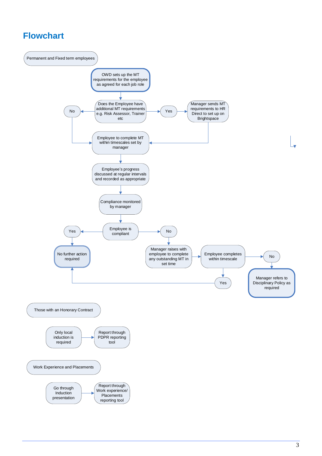### **Flowchart**